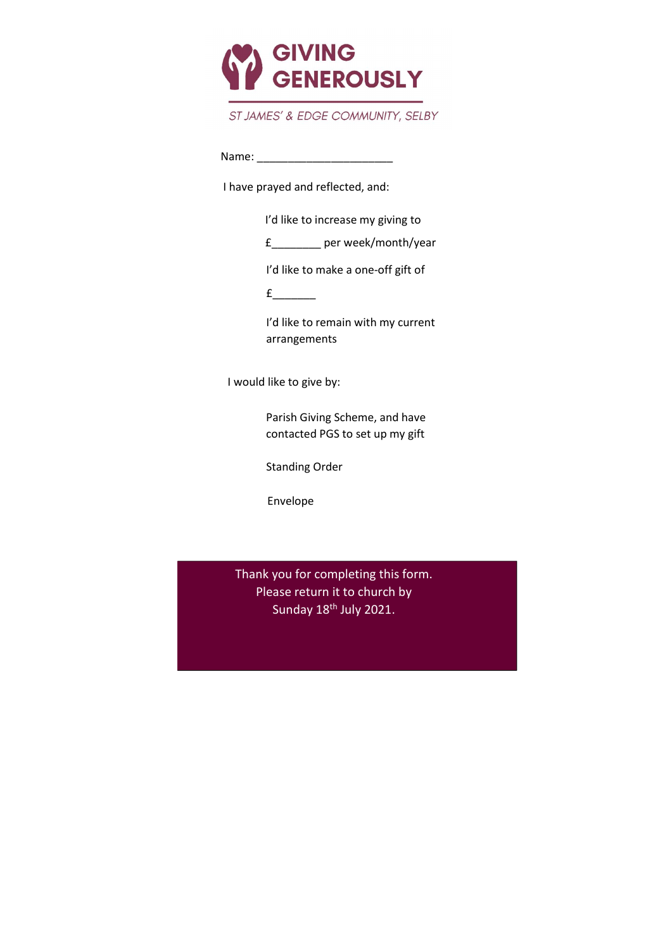

## ST JAMES' & EDGE COMMUNITY, SELBY

Name: \_\_\_\_\_\_\_\_\_\_\_\_\_\_\_\_\_\_\_\_\_\_

I have prayed and reflected, and:

I'd like to increase my giving to

£\_\_\_\_\_\_\_\_ per week/month/year

I'd like to make a one-off gift of

 $f$ 

I'd like to remain with my current arrangements

I would like to give by:

Parish Giving Scheme, and have contacted PGS to set up my gift

Standing Order

Envelope

Thank you for completing this form. Please return it to church by Sunday 18<sup>th</sup> July 2021.